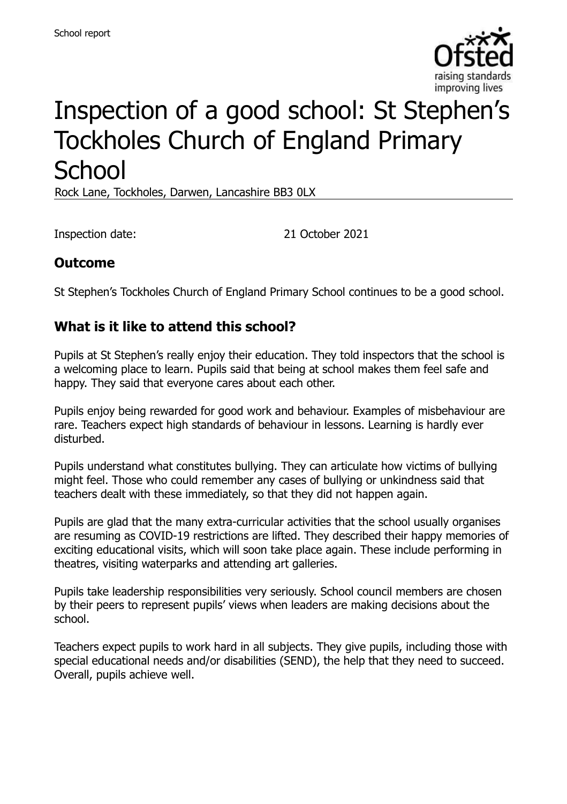

# Inspection of a good school: St Stephen's Tockholes Church of England Primary **School**

Rock Lane, Tockholes, Darwen, Lancashire BB3 0LX

Inspection date: 21 October 2021

## **Outcome**

St Stephen's Tockholes Church of England Primary School continues to be a good school.

#### **What is it like to attend this school?**

Pupils at St Stephen's really enjoy their education. They told inspectors that the school is a welcoming place to learn. Pupils said that being at school makes them feel safe and happy. They said that everyone cares about each other.

Pupils enjoy being rewarded for good work and behaviour. Examples of misbehaviour are rare. Teachers expect high standards of behaviour in lessons. Learning is hardly ever disturbed.

Pupils understand what constitutes bullying. They can articulate how victims of bullying might feel. Those who could remember any cases of bullying or unkindness said that teachers dealt with these immediately, so that they did not happen again.

Pupils are glad that the many extra-curricular activities that the school usually organises are resuming as COVID-19 restrictions are lifted. They described their happy memories of exciting educational visits, which will soon take place again. These include performing in theatres, visiting waterparks and attending art galleries.

Pupils take leadership responsibilities very seriously. School council members are chosen by their peers to represent pupils' views when leaders are making decisions about the school.

Teachers expect pupils to work hard in all subjects. They give pupils, including those with special educational needs and/or disabilities (SEND), the help that they need to succeed. Overall, pupils achieve well.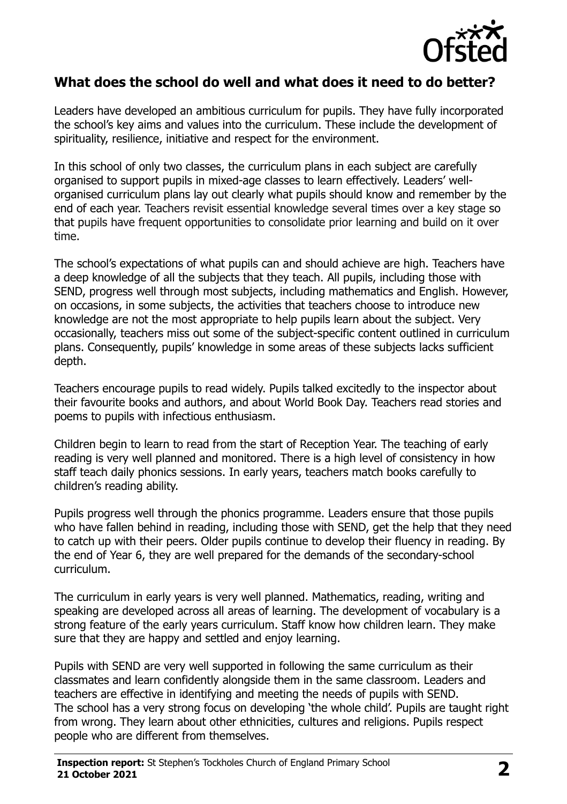

#### **What does the school do well and what does it need to do better?**

Leaders have developed an ambitious curriculum for pupils. They have fully incorporated the school's key aims and values into the curriculum. These include the development of spirituality, resilience, initiative and respect for the environment.

In this school of only two classes, the curriculum plans in each subject are carefully organised to support pupils in mixed-age classes to learn effectively. Leaders' wellorganised curriculum plans lay out clearly what pupils should know and remember by the end of each year. Teachers revisit essential knowledge several times over a key stage so that pupils have frequent opportunities to consolidate prior learning and build on it over time.

The school's expectations of what pupils can and should achieve are high. Teachers have a deep knowledge of all the subjects that they teach. All pupils, including those with SEND, progress well through most subjects, including mathematics and English. However, on occasions, in some subjects, the activities that teachers choose to introduce new knowledge are not the most appropriate to help pupils learn about the subject. Very occasionally, teachers miss out some of the subject-specific content outlined in curriculum plans. Consequently, pupils' knowledge in some areas of these subjects lacks sufficient depth.

Teachers encourage pupils to read widely. Pupils talked excitedly to the inspector about their favourite books and authors, and about World Book Day. Teachers read stories and poems to pupils with infectious enthusiasm.

Children begin to learn to read from the start of Reception Year. The teaching of early reading is very well planned and monitored. There is a high level of consistency in how staff teach daily phonics sessions. In early years, teachers match books carefully to children's reading ability.

Pupils progress well through the phonics programme. Leaders ensure that those pupils who have fallen behind in reading, including those with SEND, get the help that they need to catch up with their peers. Older pupils continue to develop their fluency in reading. By the end of Year 6, they are well prepared for the demands of the secondary-school curriculum.

The curriculum in early years is very well planned. Mathematics, reading, writing and speaking are developed across all areas of learning. The development of vocabulary is a strong feature of the early years curriculum. Staff know how children learn. They make sure that they are happy and settled and enjoy learning.

Pupils with SEND are very well supported in following the same curriculum as their classmates and learn confidently alongside them in the same classroom. Leaders and teachers are effective in identifying and meeting the needs of pupils with SEND. The school has a very strong focus on developing 'the whole child'. Pupils are taught right from wrong. They learn about other ethnicities, cultures and religions. Pupils respect people who are different from themselves.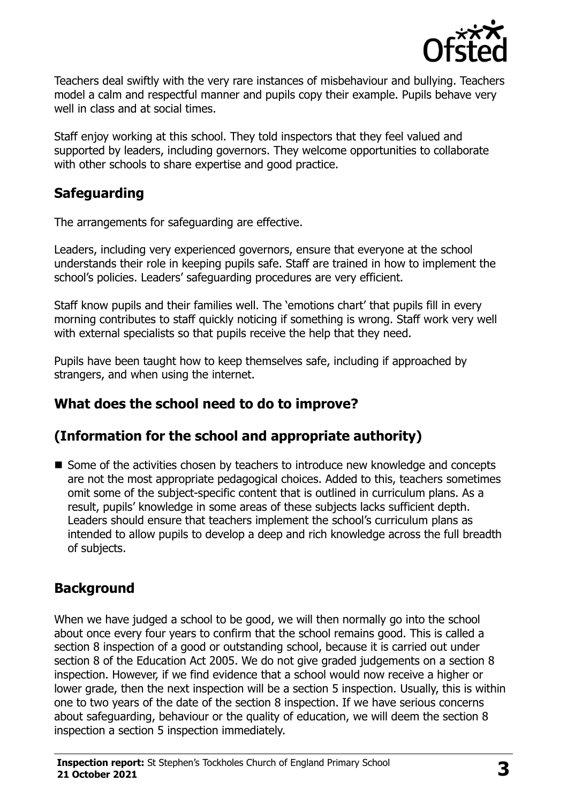

Teachers deal swiftly with the very rare instances of misbehaviour and bullying. Teachers model a calm and respectful manner and pupils copy their example. Pupils behave very well in class and at social times.

Staff enjoy working at this school. They told inspectors that they feel valued and supported by leaders, including governors. They welcome opportunities to collaborate with other schools to share expertise and good practice.

## **Safeguarding**

The arrangements for safeguarding are effective.

Leaders, including very experienced governors, ensure that everyone at the school understands their role in keeping pupils safe. Staff are trained in how to implement the school's policies. Leaders' safeguarding procedures are very efficient.

Staff know pupils and their families well. The 'emotions chart' that pupils fill in every morning contributes to staff quickly noticing if something is wrong. Staff work very well with external specialists so that pupils receive the help that they need.

Pupils have been taught how to keep themselves safe, including if approached by strangers, and when using the internet.

## **What does the school need to do to improve?**

## **(Information for the school and appropriate authority)**

■ Some of the activities chosen by teachers to introduce new knowledge and concepts are not the most appropriate pedagogical choices. Added to this, teachers sometimes omit some of the subject-specific content that is outlined in curriculum plans. As a result, pupils' knowledge in some areas of these subjects lacks sufficient depth. Leaders should ensure that teachers implement the school's curriculum plans as intended to allow pupils to develop a deep and rich knowledge across the full breadth of subjects.

## **Background**

When we have judged a school to be good, we will then normally go into the school about once every four years to confirm that the school remains good. This is called a section 8 inspection of a good or outstanding school, because it is carried out under section 8 of the Education Act 2005. We do not give graded judgements on a section 8 inspection. However, if we find evidence that a school would now receive a higher or lower grade, then the next inspection will be a section 5 inspection. Usually, this is within one to two years of the date of the section 8 inspection. If we have serious concerns about safeguarding, behaviour or the quality of education, we will deem the section 8 inspection a section 5 inspection immediately.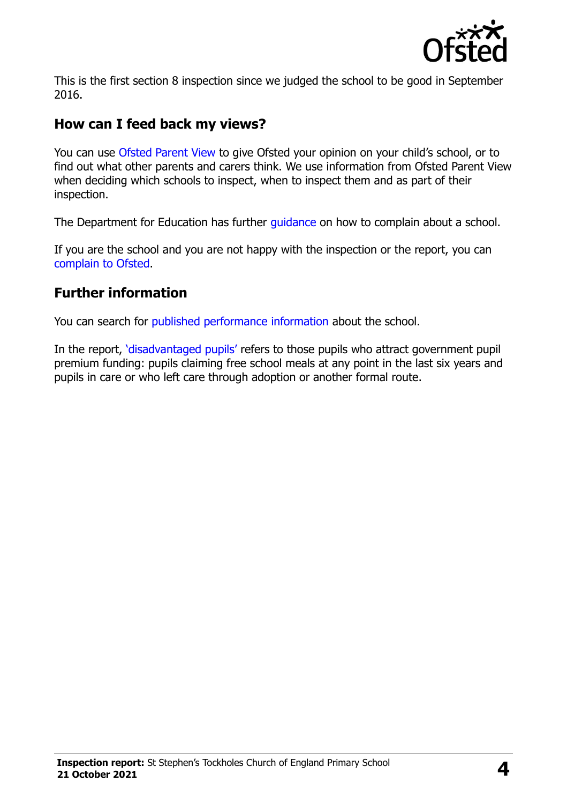

This is the first section 8 inspection since we judged the school to be good in September 2016.

#### **How can I feed back my views?**

You can use [Ofsted Parent View](https://parentview.ofsted.gov.uk/) to give Ofsted your opinion on your child's school, or to find out what other parents and carers think. We use information from Ofsted Parent View when deciding which schools to inspect, when to inspect them and as part of their inspection.

The Department for Education has further quidance on how to complain about a school.

If you are the school and you are not happy with the inspection or the report, you can [complain to Ofsted.](https://www.gov.uk/complain-ofsted-report)

## **Further information**

You can search for [published performance information](http://www.compare-school-performance.service.gov.uk/) about the school.

In the report, '[disadvantaged pupils](http://www.gov.uk/guidance/pupil-premium-information-for-schools-and-alternative-provision-settings)' refers to those pupils who attract government pupil premium funding: pupils claiming free school meals at any point in the last six years and pupils in care or who left care through adoption or another formal route.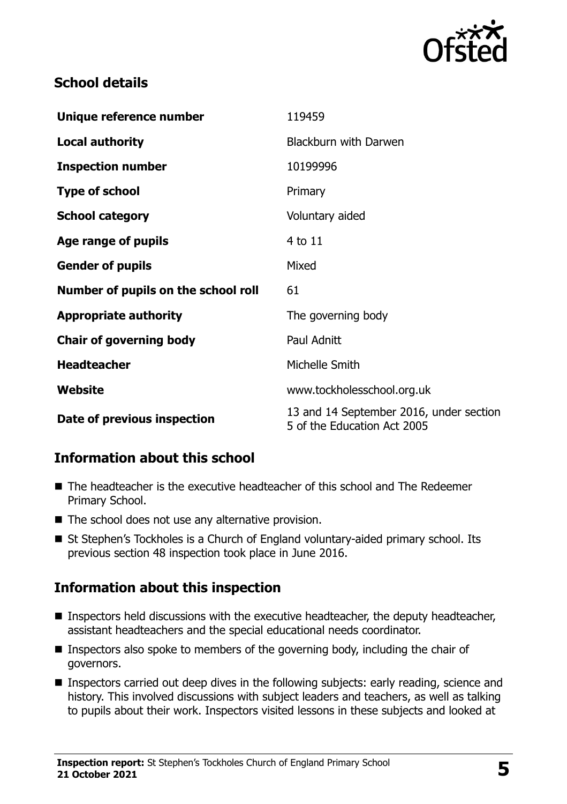

## **School details**

| Unique reference number             | 119459                                                                 |
|-------------------------------------|------------------------------------------------------------------------|
| Local authority                     | <b>Blackburn with Darwen</b>                                           |
| <b>Inspection number</b>            | 10199996                                                               |
| <b>Type of school</b>               | Primary                                                                |
| <b>School category</b>              | Voluntary aided                                                        |
| Age range of pupils                 | 4 to 11                                                                |
| <b>Gender of pupils</b>             | Mixed                                                                  |
| Number of pupils on the school roll | 61                                                                     |
| <b>Appropriate authority</b>        | The governing body                                                     |
| <b>Chair of governing body</b>      | Paul Adnitt                                                            |
| <b>Headteacher</b>                  | Michelle Smith                                                         |
| Website                             | www.tockholesschool.org.uk                                             |
| Date of previous inspection         | 13 and 14 September 2016, under section<br>5 of the Education Act 2005 |

## **Information about this school**

- The headteacher is the executive headteacher of this school and The Redeemer Primary School.
- The school does not use any alternative provision.
- St Stephen's Tockholes is a Church of England voluntary-aided primary school. Its previous section 48 inspection took place in June 2016.

## **Information about this inspection**

- **Inspectors held discussions with the executive headteacher, the deputy headteacher,** assistant headteachers and the special educational needs coordinator.
- **Inspectors also spoke to members of the governing body, including the chair of** governors.
- Inspectors carried out deep dives in the following subjects: early reading, science and history. This involved discussions with subject leaders and teachers, as well as talking to pupils about their work. Inspectors visited lessons in these subjects and looked at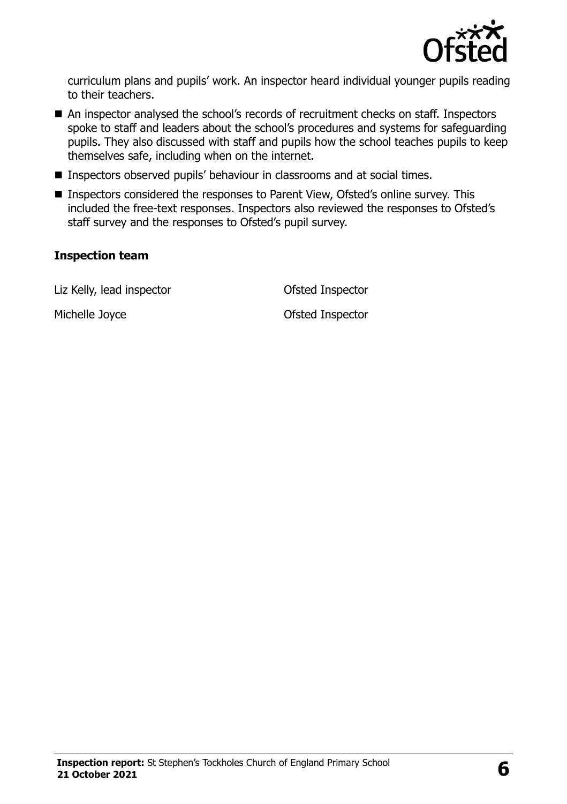

curriculum plans and pupils' work. An inspector heard individual younger pupils reading to their teachers.

- An inspector analysed the school's records of recruitment checks on staff. Inspectors spoke to staff and leaders about the school's procedures and systems for safeguarding pupils. They also discussed with staff and pupils how the school teaches pupils to keep themselves safe, including when on the internet.
- Inspectors observed pupils' behaviour in classrooms and at social times.
- Inspectors considered the responses to Parent View, Ofsted's online survey. This included the free-text responses. Inspectors also reviewed the responses to Ofsted's staff survey and the responses to Ofsted's pupil survey.

#### **Inspection team**

Liz Kelly, lead inspector **CELL COLLEGATE:** Ofsted Inspector

Michelle Joyce **Ofsted Inspector**